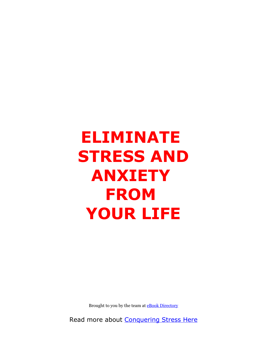# **ELIMINATE STRESS AND ANXIETY FROM YOUR LIFE**

Brought to you by the team at **eBook Directory**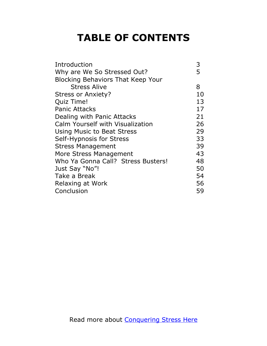### **TABLE OF CONTENTS**

| Introduction                             | 3  |
|------------------------------------------|----|
| Why are We So Stressed Out?              | 5  |
| <b>Blocking Behaviors That Keep Your</b> |    |
| <b>Stress Alive</b>                      | 8  |
| <b>Stress or Anxiety?</b>                | 10 |
| <b>Quiz Time!</b>                        | 13 |
| <b>Panic Attacks</b>                     | 17 |
| Dealing with Panic Attacks               | 21 |
| <b>Calm Yourself with Visualization</b>  | 26 |
| <b>Using Music to Beat Stress</b>        | 29 |
| Self-Hypnosis for Stress                 | 33 |
| <b>Stress Management</b>                 | 39 |
| More Stress Management                   | 43 |
| Who Ya Gonna Call? Stress Busters!       | 48 |
| Just Say "No"!                           | 50 |
| Take a Break                             | 54 |
| Relaxing at Work                         | 56 |
| Conclusion                               | 59 |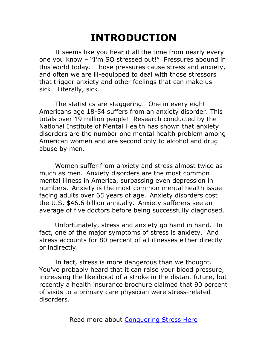## **INTRODUCTION**

It seems like you hear it all the time from nearly every one you know – "I'm SO stressed out!" Pressures abound in this world today. Those pressures cause stress and anxiety, and often we are ill-equipped to deal with those stressors that trigger anxiety and other feelings that can make us sick. Literally, sick.

The statistics are staggering. One in every eight Americans age 18-54 suffers from an anxiety disorder. This totals over 19 million people! Research conducted by the National Institute of Mental Health has shown that anxiety disorders are the number one mental health problem among American women and are second only to alcohol and drug abuse by men.

Women suffer from anxiety and stress almost twice as much as men. Anxiety disorders are the most common mental illness in America, surpassing even depression in numbers. Anxiety is the most common mental health issue facing adults over 65 years of age. Anxiety disorders cost the U.S. \$46.6 billion annually. Anxiety sufferers see an average of five doctors before being successfully diagnosed.

Unfortunately, stress and anxiety go hand in hand. In fact, one of the major symptoms of stress is anxiety. And stress accounts for 80 percent of all illnesses either directly or indirectly.

In fact, stress is more dangerous than we thought. You've probably heard that it can raise your blood pressure, increasing the likelihood of a stroke in the distant future, but recently a health insurance brochure claimed that 90 percent of visits to a primary care physician were stress-related disorders.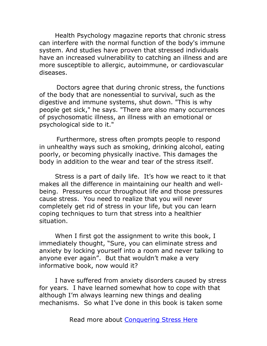Health Psychology magazine reports that chronic stress can interfere with the normal function of the body's immune system. And studies have proven that stressed individuals have an increased vulnerability to catching an illness and are more susceptible to allergic, autoimmune, or cardiovascular diseases.

 Doctors agree that during chronic stress, the functions of the body that are nonessential to survival, such as the digestive and immune systems, shut down. "This is why people get sick," he says. "There are also many occurrences of psychosomatic illness, an illness with an emotional or psychological side to it."

 Furthermore, stress often prompts people to respond in unhealthy ways such as smoking, drinking alcohol, eating poorly, or becoming physically inactive. This damages the body in addition to the wear and tear of the stress itself.

Stress is a part of daily life. It's how we react to it that makes all the difference in maintaining our health and wellbeing. Pressures occur throughout life and those pressures cause stress. You need to realize that you will never completely get rid of stress in your life, but you can learn coping techniques to turn that stress into a healthier situation.

When I first got the assignment to write this book, I immediately thought, "Sure, you can eliminate stress and anxiety by locking yourself into a room and never talking to anyone ever again". But that wouldn't make a very informative book, now would it?

I have suffered from anxiety disorders caused by stress for years. I have learned somewhat how to cope with that although I'm always learning new things and dealing mechanisms. So what I've done in this book is taken some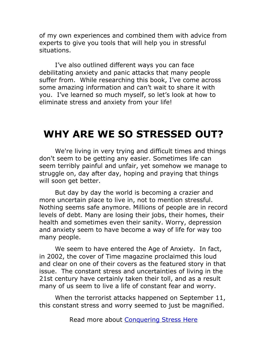of my own experiences and combined them with advice from experts to give you tools that will help you in stressful situations.

I've also outlined different ways you can face debilitating anxiety and panic attacks that many people suffer from. While researching this book, I've come across some amazing information and can't wait to share it with you. I've learned so much myself, so let's look at how to eliminate stress and anxiety from your life!

### **WHY ARE WE SO STRESSED OUT?**

We're living in very trying and difficult times and things don't seem to be getting any easier. Sometimes life can seem terribly painful and unfair, yet somehow we manage to struggle on, day after day, hoping and praying that things will soon get better.

But day by day the world is becoming a crazier and more uncertain place to live in, not to mention stressful. Nothing seems safe anymore. Millions of people are in record levels of debt. Many are losing their jobs, their homes, their health and sometimes even their sanity. Worry, depression and anxiety seem to have become a way of life for way too many people.

We seem to have entered the Age of Anxiety. In fact, in 2002, the cover of Time magazine proclaimed this loud and clear on one of their covers as the featured story in that issue. The constant stress and uncertainties of living in the 21st century have certainly taken their toll, and as a result many of us seem to live a life of constant fear and worry.

When the terrorist attacks happened on September 11, this constant stress and worry seemed to just be magnified.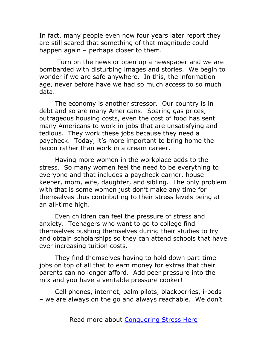In fact, many people even now four years later report they are still scared that something of that magnitude could happen again – perhaps closer to them.

 Turn on the news or open up a newspaper and we are bombarded with disturbing images and stories. We begin to wonder if we are safe anywhere. In this, the information age, never before have we had so much access to so much data.

The economy is another stressor. Our country is in debt and so are many Americans. Soaring gas prices, outrageous housing costs, even the cost of food has sent many Americans to work in jobs that are unsatisfying and tedious. They work these jobs because they need a paycheck. Today, it's more important to bring home the bacon rather than work in a dream career.

Having more women in the workplace adds to the stress. So many women feel the need to be everything to everyone and that includes a paycheck earner, house keeper, mom, wife, daughter, and sibling. The only problem with that is some women just don't make any time for themselves thus contributing to their stress levels being at an all-time high.

Even children can feel the pressure of stress and anxiety. Teenagers who want to go to college find themselves pushing themselves during their studies to try and obtain scholarships so they can attend schools that have ever increasing tuition costs.

They find themselves having to hold down part-time jobs on top of all that to earn money for extras that their parents can no longer afford. Add peer pressure into the mix and you have a veritable pressure cooker!

Cell phones, internet, palm pilots, blackberries, i-pods – we are always on the go and always reachable. We don't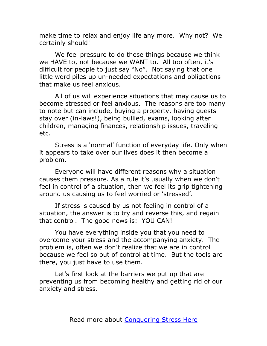make time to relax and enjoy life any more. Why not? We certainly should!

We feel pressure to do these things because we think we HAVE to, not because we WANT to. All too often, it's difficult for people to just say "No". Not saying that one little word piles up un-needed expectations and obligations that make us feel anxious.

All of us will experience situations that may cause us to become stressed or feel anxious. The reasons are too many to note but can include, buying a property, having guests stay over (in-laws!), being bullied, exams, looking after children, managing finances, relationship issues, traveling etc.

Stress is a 'normal' function of everyday life. Only when it appears to take over our lives does it then become a problem.

Everyone will have different reasons why a situation causes them pressure. As a rule it's usually when we don't feel in control of a situation, then we feel its grip tightening around us causing us to feel worried or 'stressed'.

If stress is caused by us not feeling in control of a situation, the answer is to try and reverse this, and regain that control. The good news is: YOU CAN!

You have everything inside you that you need to overcome your stress and the accompanying anxiety. The problem is, often we don't realize that we are in control because we feel so out of control at time. But the tools are there, you just have to use them.

Let's first look at the barriers we put up that are preventing us from becoming healthy and getting rid of our anxiety and stress.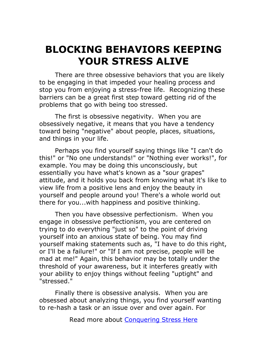### **BLOCKING BEHAVIORS KEEPING YOUR STRESS ALIVE**

There are three obsessive behaviors that you are likely to be engaging in that impeded your healing process and stop you from enjoying a stress-free life. Recognizing these barriers can be a great first step toward getting rid of the problems that go with being too stressed.

The first is obsessive negativity. When you are obsessively negative, it means that you have a tendency toward being "negative" about people, places, situations, and things in your life.

Perhaps you find yourself saying things like "I can't do this!" or "No one understands!" or "Nothing ever works!", for example. You may be doing this unconsciously, but essentially you have what's known as a "sour grapes" attitude, and it holds you back from knowing what it's like to view life from a positive lens and enjoy the beauty in yourself and people around you! There's a whole world out there for you...with happiness and positive thinking.

Then you have obsessive perfectionism. When you engage in obsessive perfectionism, you are centered on trying to do everything "just so" to the point of driving yourself into an anxious state of being. You may find yourself making statements such as, "I have to do this right, or I'll be a failure!" or "If I am not precise, people will be mad at me!" Again, this behavior may be totally under the threshold of your awareness, but it interferes greatly with your ability to enjoy things without feeling "uptight" and "stressed."

Finally there is obsessive analysis. When you are obsessed about analyzing things, you find yourself wanting to re-hash a task or an issue over and over again. For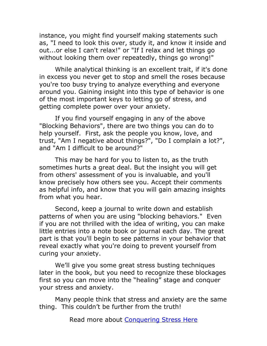instance, you might find yourself making statements such as, "I need to look this over, study it, and know it inside and out...or else I can't relax!" or "If I relax and let things go without looking them over repeatedly, things go wrong!"

While analytical thinking is an excellent trait, if it's done in excess you never get to stop and smell the roses because you're too busy trying to analyze everything and everyone around you. Gaining insight into this type of behavior is one of the most important keys to letting go of stress, and getting complete power over your anxiety.

If you find yourself engaging in any of the above "Blocking Behaviors", there are two things you can do to help yourself. First, ask the people you know, love, and trust, "Am I negative about things?", "Do I complain a lot?", and "Am I difficult to be around?"

This may be hard for you to listen to, as the truth sometimes hurts a great deal. But the insight you will get from others' assessment of you is invaluable, and you'll know precisely how others see you. Accept their comments as helpful info, and know that you will gain amazing insights from what you hear.

Second, keep a journal to write down and establish patterns of when you are using "blocking behaviors." Even if you are not thrilled with the idea of writing, you can make little entries into a note book or journal each day. The great part is that you'll begin to see patterns in your behavior that reveal exactly what you're doing to prevent yourself from curing your anxiety.

We'll give you some great stress busting techniques later in the book, but you need to recognize these blockages first so you can move into the "healing" stage and conquer your stress and anxiety.

Many people think that stress and anxiety are the same thing. This couldn't be further from the truth!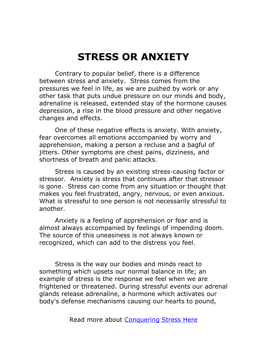### **STRESS OR ANXIETY**

Contrary to popular belief, there is a difference between stress and anxiety. Stress comes from the pressures we feel in life, as we are pushed by work or any other task that puts undue pressure on our minds and body, adrenaline is released, extended stay of the hormone causes depression, a rise in the blood pressure and other negative changes and effects.

One of these negative effects is anxiety. With anxiety, fear overcomes all emotions accompanied by worry and apprehension, making a person a recluse and a bagful of jitters. Other symptoms are chest pains, dizziness, and shortness of breath and panic attacks.

Stress is caused by an existing stress-causing factor or stressor. Anxiety is stress that continues after that stressor is gone. Stress can come from any situation or thought that makes you feel frustrated, angry, nervous, or even anxious. What is stressful to one person is not necessarily stressful to another.

Anxiety is a feeling of apprehension or fear and is almost always accompanied by feelings of impending doom. The source of this uneasiness is not always known or recognized, which can add to the distress you feel.

Stress is the way our bodies and minds react to something which upsets our normal balance in life; an example of stress is the response we feel when we are frightened or threatened. During stressful events our adrenal glands release adrenaline, a hormone which activates our body's defense mechanisms causing our hearts to pound,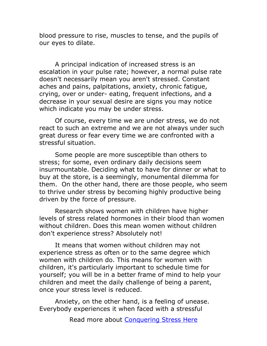blood pressure to rise, muscles to tense, and the pupils of our eyes to dilate.

A principal indication of increased stress is an escalation in your pulse rate; however, a normal pulse rate doesn't necessarily mean you aren't stressed. Constant aches and pains, palpitations, anxiety, chronic fatigue, crying, over or under- eating, frequent infections, and a decrease in your sexual desire are signs you may notice which indicate you may be under stress.

Of course, every time we are under stress, we do not react to such an extreme and we are not always under such great duress or fear every time we are confronted with a stressful situation.

Some people are more susceptible than others to stress; for some, even ordinary daily decisions seem insurmountable. Deciding what to have for dinner or what to buy at the store, is a seemingly, monumental dilemma for them. On the other hand, there are those people, who seem to thrive under stress by becoming highly productive being driven by the force of pressure.

Research shows women with children have higher levels of stress related hormones in their blood than women without children. Does this mean women without children don't experience stress? Absolutely not!

It means that women without children may not experience stress as often or to the same degree which women with children do. This means for women with children, it's particularly important to schedule time for yourself; you will be in a better frame of mind to help your children and meet the daily challenge of being a parent, once your stress level is reduced.

Anxiety, on the other hand, is a feeling of unease. Everybody experiences it when faced with a stressful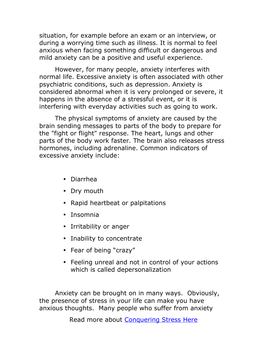situation, for example before an exam or an interview, or during a worrying time such as illness. It is normal to feel anxious when facing something difficult or dangerous and mild anxiety can be a positive and useful experience.

However, for many people, anxiety interferes with normal life. Excessive anxiety is often associated with other psychiatric conditions, such as depression. Anxiety is considered abnormal when it is very prolonged or severe, it happens in the absence of a stressful event, or it is interfering with everyday activities such as going to work.

The physical symptoms of anxiety are caused by the brain sending messages to parts of the body to prepare for the "fight or flight" response. The heart, lungs and other parts of the body work faster. The brain also releases stress hormones, including adrenaline. Common indicators of excessive anxiety include:

- Diarrhea
- Dry mouth
- Rapid heartbeat or palpitations
- Insomnia
- Irritability or anger
- Inability to concentrate
- Fear of being "crazy"
- Feeling unreal and not in control of your actions which is called depersonalization

Anxiety can be brought on in many ways. Obviously, the presence of stress in your life can make you have anxious thoughts. Many people who suffer from anxiety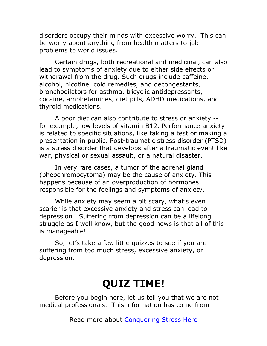disorders occupy their minds with excessive worry. This can be worry about anything from health matters to job problems to world issues.

Certain drugs, both recreational and medicinal, can also lead to symptoms of anxiety due to either side effects or withdrawal from the drug. Such drugs include caffeine, alcohol, nicotine, cold remedies, and decongestants, bronchodilators for asthma, tricyclic antidepressants, cocaine, amphetamines, diet pills, ADHD medications, and thyroid medications.

A poor diet can also contribute to stress or anxiety - for example, low levels of vitamin B12. Performance anxiety is related to specific situations, like taking a test or making a presentation in public. Post-traumatic stress disorder (PTSD) is a stress disorder that develops after a traumatic event like war, physical or sexual assault, or a natural disaster.

In very rare cases, a tumor of the adrenal gland (pheochromocytoma) may be the cause of anxiety. This happens because of an overproduction of hormones responsible for the feelings and symptoms of anxiety.

While anxiety may seem a bit scary, what's even scarier is that excessive anxiety and stress can lead to depression. Suffering from depression can be a lifelong struggle as I well know, but the good news is that all of this is manageable!

So, let's take a few little quizzes to see if you are suffering from too much stress, excessive anxiety, or depression.

### **QUIZ TIME!**

Before you begin here, let us tell you that we are not medical professionals. This information has come from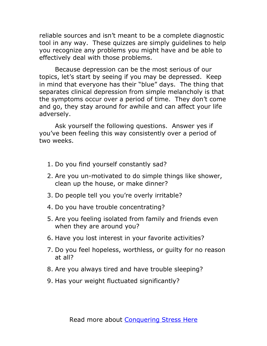reliable sources and isn't meant to be a complete diagnostic tool in any way. These quizzes are simply guidelines to help you recognize any problems you might have and be able to effectively deal with those problems.

Because depression can be the most serious of our topics, let's start by seeing if you may be depressed. Keep in mind that everyone has their "blue" days. The thing that separates clinical depression from simple melancholy is that the symptoms occur over a period of time. They don't come and go, they stay around for awhile and can affect your life adversely.

Ask yourself the following questions. Answer yes if you've been feeling this way consistently over a period of two weeks.

- 1. Do you find yourself constantly sad?
- 2. Are you un-motivated to do simple things like shower, clean up the house, or make dinner?
- 3. Do people tell you you're overly irritable?
- 4. Do you have trouble concentrating?
- 5. Are you feeling isolated from family and friends even when they are around you?
- 6. Have you lost interest in your favorite activities?
- 7. Do you feel hopeless, worthless, or guilty for no reason at all?
- 8. Are you always tired and have trouble sleeping?
- 9. Has your weight fluctuated significantly?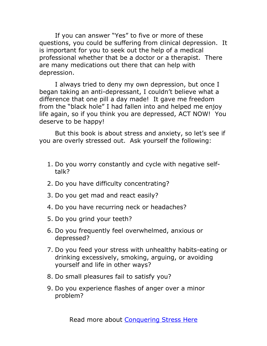If you can answer "Yes" to five or more of these questions, you could be suffering from clinical depression. It is important for you to seek out the help of a medical professional whether that be a doctor or a therapist. There are many medications out there that can help with depression.

I always tried to deny my own depression, but once I began taking an anti-depressant, I couldn't believe what a difference that one pill a day made! It gave me freedom from the "black hole" I had fallen into and helped me enjoy life again, so if you think you are depressed, ACT NOW! You deserve to be happy!

But this book is about stress and anxiety, so let's see if you are overly stressed out. Ask yourself the following:

- 1. Do you worry constantly and cycle with negative selftalk?
- 2. Do you have difficulty concentrating?
- 3. Do you get mad and react easily?
- 4. Do you have recurring neck or headaches?
- 5. Do you grind your teeth?
- 6. Do you frequently feel overwhelmed, anxious or depressed?
- 7. Do you feed your stress with unhealthy habits-eating or drinking excessively, smoking, arguing, or avoiding yourself and life in other ways?
- 8. Do small pleasures fail to satisfy you?
- 9. Do you experience flashes of anger over a minor problem?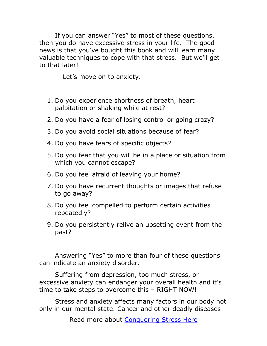If you can answer "Yes" to most of these questions, then you do have excessive stress in your life. The good news is that you've bought this book and will learn many valuable techniques to cope with that stress. But we'll get to that later!

Let's move on to anxiety.

- 1. Do you experience shortness of breath, heart palpitation or shaking while at rest?
- 2. Do you have a fear of losing control or going crazy?
- 3. Do you avoid social situations because of fear?
- 4. Do you have fears of specific objects?
- 5. Do you fear that you will be in a place or situation from which you cannot escape?
- 6. Do you feel afraid of leaving your home?
- 7. Do you have recurrent thoughts or images that refuse to go away?
- 8. Do you feel compelled to perform certain activities repeatedly?
- 9. Do you persistently relive an upsetting event from the past?

Answering "Yes" to more than four of these questions can indicate an anxiety disorder.

Suffering from depression, too much stress, or excessive anxiety can endanger your overall health and it's time to take steps to overcome this – RIGHT NOW!

Stress and anxiety affects many factors in our body not only in our mental state. Cancer and other deadly diseases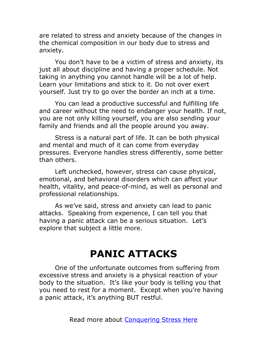are related to stress and anxiety because of the changes in the chemical composition in our body due to stress and anxiety.

You don't have to be a victim of stress and anxiety, its just all about discipline and having a proper schedule. Not taking in anything you cannot handle will be a lot of help. Learn your limitations and stick to it. Do not over exert yourself. Just try to go over the border an inch at a time.

You can lead a productive successful and fulfilling life and career without the need to endanger your health. If not, you are not only killing yourself, you are also sending your family and friends and all the people around you away.

Stress is a natural part of life. It can be both physical and mental and much of it can come from everyday pressures. Everyone handles stress differently, some better than others.

Left unchecked, however, stress can cause physical, emotional, and behavioral disorders which can affect your health, vitality, and peace-of-mind, as well as personal and professional relationships.

As we've said, stress and anxiety can lead to panic attacks. Speaking from experience, I can tell you that having a panic attack can be a serious situation. Let's explore that subject a little more.

### **PANIC ATTACKS**

One of the unfortunate outcomes from suffering from excessive stress and anxiety is a physical reaction of your body to the situation. It's like your body is telling you that you need to rest for a moment. Except when you're having a panic attack, it's anything BUT restful.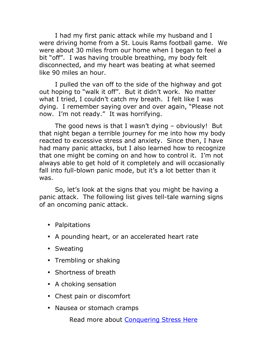I had my first panic attack while my husband and I were driving home from a St. Louis Rams football game. We were about 30 miles from our home when I began to feel a bit "off". I was having trouble breathing, my body felt disconnected, and my heart was beating at what seemed like 90 miles an hour.

I pulled the van off to the side of the highway and got out hoping to "walk it off". But it didn't work. No matter what I tried, I couldn't catch my breath. I felt like I was dying. I remember saying over and over again, "Please not now. I'm not ready." It was horrifying.

The good news is that I wasn't dying – obviously! But that night began a terrible journey for me into how my body reacted to excessive stress and anxiety. Since then, I have had many panic attacks, but I also learned how to recognize that one might be coming on and how to control it. I'm not always able to get hold of it completely and will occasionally fall into full-blown panic mode, but it's a lot better than it was.

So, let's look at the signs that you might be having a panic attack. The following list gives tell-tale warning signs of an oncoming panic attack.

- Palpitations
- A pounding heart, or an accelerated heart rate
- Sweating
- Trembling or shaking
- Shortness of breath
- A choking sensation
- Chest pain or discomfort
- Nausea or stomach cramps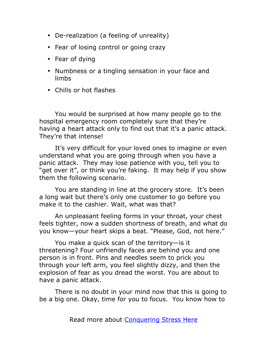- De-realization (a feeling of unreality)
- Fear of losing control or going crazy
- Fear of dying
- Numbness or a tingling sensation in your face and limbs
- Chills or hot flashes

You would be surprised at how many people go to the hospital emergency room completely sure that they're having a heart attack only to find out that it's a panic attack. They're that intense!

It's very difficult for your loved ones to imagine or even understand what you are going through when you have a panic attack. They may lose patience with you, tell you to "get over it", or think you're faking. It may help if you show them the following scenario.

You are standing in line at the grocery store. It's been a long wait but there's only one customer to go before you make it to the cashier. Wait, what was that?

An unpleasant feeling forms in your throat, your chest feels tighter, now a sudden shortness of breath, and what do you know—your heart skips a beat. "Please, God, not here."

You make a quick scan of the territory—is it threatening? Four unfriendly faces are behind you and one person is in front. Pins and needles seem to prick you through your left arm, you feel slightly dizzy, and then the explosion of fear as you dread the worst. You are about to have a panic attack.

There is no doubt in your mind now that this is going to be a big one. Okay, time for you to focus. You know how to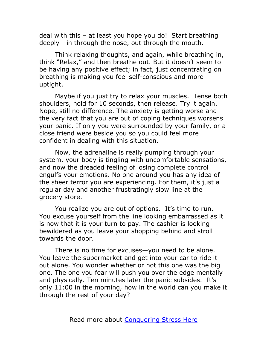deal with this – at least you hope you do! Start breathing deeply - in through the nose, out through the mouth.

Think relaxing thoughts, and again, while breathing in, think "Relax," and then breathe out. But it doesn't seem to be having any positive effect; in fact, just concentrating on breathing is making you feel self-conscious and more uptight.

Maybe if you just try to relax your muscles. Tense both shoulders, hold for 10 seconds, then release. Try it again. Nope, still no difference. The anxiety is getting worse and the very fact that you are out of coping techniques worsens your panic. If only you were surrounded by your family, or a close friend were beside you so you could feel more confident in dealing with this situation.

Now, the adrenaline is really pumping through your system, your body is tingling with uncomfortable sensations, and now the dreaded feeling of losing complete control engulfs your emotions. No one around you has any idea of the sheer terror you are experiencing. For them, it's just a regular day and another frustratingly slow line at the grocery store.

You realize you are out of options. It's time to run. You excuse yourself from the line looking embarrassed as it is now that it is your turn to pay. The cashier is looking bewildered as you leave your shopping behind and stroll towards the door.

There is no time for excuses—you need to be alone. You leave the supermarket and get into your car to ride it out alone. You wonder whether or not this one was the big one. The one you fear will push you over the edge mentally and physically. Ten minutes later the panic subsides. It's only 11:00 in the morning, how in the world can you make it through the rest of your day?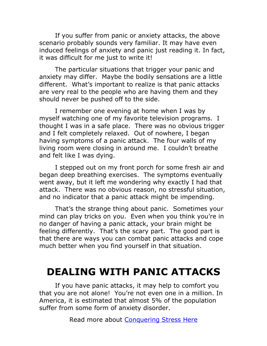If you suffer from panic or anxiety attacks, the above scenario probably sounds very familiar. It may have even induced feelings of anxiety and panic just reading it. In fact, it was difficult for me just to write it!

The particular situations that trigger your panic and anxiety may differ. Maybe the bodily sensations are a little different. What's important to realize is that panic attacks are very real to the people who are having them and they should never be pushed off to the side.

I remember one evening at home when I was by myself watching one of my favorite television programs. I thought I was in a safe place. There was no obvious trigger and I felt completely relaxed. Out of nowhere, I began having symptoms of a panic attack. The four walls of my living room were closing in around me. I couldn't breathe and felt like I was dying.

I stepped out on my front porch for some fresh air and began deep breathing exercises. The symptoms eventually went away, but it left me wondering why exactly I had that attack. There was no obvious reason, no stressful situation, and no indicator that a panic attack might be impending.

That's the strange thing about panic. Sometimes your mind can play tricks on you. Even when you think you're in no danger of having a panic attack, your brain might be feeling differently. That's the scary part. The good part is that there are ways you can combat panic attacks and cope much better when you find yourself in that situation.

### **DEALING WITH PANIC ATTACKS**

If you have panic attacks, it may help to comfort you that you are not alone! You're not even one in a million. In America, it is estimated that almost 5% of the population suffer from some form of anxiety disorder.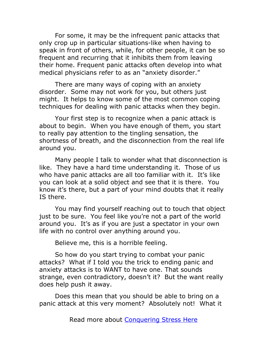For some, it may be the infrequent panic attacks that only crop up in particular situations-like when having to speak in front of others, while, for other people, it can be so frequent and recurring that it inhibits them from leaving their home. Frequent panic attacks often develop into what medical physicians refer to as an "anxiety disorder."

There are many ways of coping with an anxiety disorder. Some may not work for you, but others just might. It helps to know some of the most common coping techniques for dealing with panic attacks when they begin.

Your first step is to recognize when a panic attack is about to begin. When you have enough of them, you start to really pay attention to the tingling sensation, the shortness of breath, and the disconnection from the real life around you.

Many people I talk to wonder what that disconnection is like. They have a hard time understanding it. Those of us who have panic attacks are all too familiar with it. It's like you can look at a solid object and see that it is there. You know it's there, but a part of your mind doubts that it really IS there.

You may find yourself reaching out to touch that object just to be sure. You feel like you're not a part of the world around you. It's as if you are just a spectator in your own life with no control over anything around you.

Believe me, this is a horrible feeling.

So how do you start trying to combat your panic attacks? What if I told you the trick to ending panic and anxiety attacks is to WANT to have one. That sounds strange, even contradictory, doesn't it? But the want really does help push it away.

Does this mean that you should be able to bring on a panic attack at this very moment? Absolutely not! What it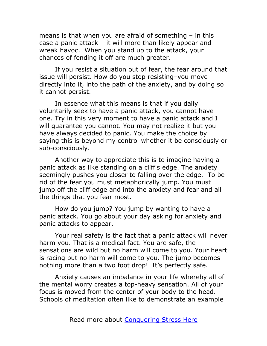means is that when you are afraid of something  $-$  in this case a panic attack – it will more than likely appear and wreak havoc. When you stand up to the attack, your chances of fending it off are much greater.

If you resist a situation out of fear, the fear around that issue will persist. How do you stop resisting–you move directly into it, into the path of the anxiety, and by doing so it cannot persist.

In essence what this means is that if you daily voluntarily seek to have a panic attack, you cannot have one. Try in this very moment to have a panic attack and I will guarantee you cannot. You may not realize it but you have always decided to panic. You make the choice by saying this is beyond my control whether it be consciously or sub-consciously.

Another way to appreciate this is to imagine having a panic attack as like standing on a cliff's edge. The anxiety seemingly pushes you closer to falling over the edge. To be rid of the fear you must metaphorically jump. You must jump off the cliff edge and into the anxiety and fear and all the things that you fear most.

How do you jump? You jump by wanting to have a panic attack. You go about your day asking for anxiety and panic attacks to appear.

Your real safety is the fact that a panic attack will never harm you. That is a medical fact. You are safe, the sensations are wild but no harm will come to you. Your heart is racing but no harm will come to you. The jump becomes nothing more than a two foot drop! It's perfectly safe.

Anxiety causes an imbalance in your life whereby all of the mental worry creates a top-heavy sensation. All of your focus is moved from the center of your body to the head. Schools of meditation often like to demonstrate an example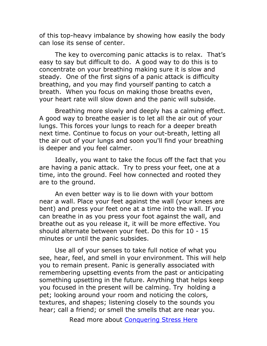of this top-heavy imbalance by showing how easily the body can lose its sense of center.

The key to overcoming panic attacks is to relax. That's easy to say but difficult to do. A good way to do this is to concentrate on your breathing making sure it is slow and steady. One of the first signs of a panic attack is difficulty breathing, and you may find yourself panting to catch a breath. When you focus on making those breaths even, your heart rate will slow down and the panic will subside.

Breathing more slowly and deeply has a calming effect. A good way to breathe easier is to let all the air out of your lungs. This forces your lungs to reach for a deeper breath next time. Continue to focus on your out-breath, letting all the air out of your lungs and soon you'll find your breathing is deeper and you feel calmer.

Ideally, you want to take the focus off the fact that you are having a panic attack. Try to press your feet, one at a time, into the ground. Feel how connected and rooted they are to the ground.

An even better way is to lie down with your bottom near a wall. Place your feet against the wall (your knees are bent) and press your feet one at a time into the wall. If you can breathe in as you press your foot against the wall, and breathe out as you release it, it will be more effective. You should alternate between your feet. Do this for 10 - 15 minutes or until the panic subsides.

Use all of your senses to take full notice of what you see, hear, feel, and smell in your environment. This will help you to remain present. Panic is generally associated with remembering upsetting events from the past or anticipating something upsetting in the future. Anything that helps keep you focused in the present will be calming. Try holding a pet; looking around your room and noticing the colors, textures, and shapes; listening closely to the sounds you hear; call a friend; or smell the smells that are near you.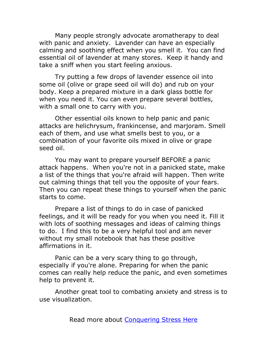Many people strongly advocate aromatherapy to deal with panic and anxiety. Lavender can have an especially calming and soothing effect when you smell it. You can find essential oil of lavender at many stores. Keep it handy and take a sniff when you start feeling anxious.

Try putting a few drops of lavender essence oil into some oil (olive or grape seed oil will do) and rub on your body. Keep a prepared mixture in a dark glass bottle for when you need it. You can even prepare several bottles, with a small one to carry with you.

Other essential oils known to help panic and panic attacks are helichrysum, frankincense, and marjoram. Smell each of them, and use what smells best to you, or a combination of your favorite oils mixed in olive or grape seed oil.

You may want to prepare yourself BEFORE a panic attack happens. When you're not in a panicked state, make a list of the things that you're afraid will happen. Then write out calming things that tell you the opposite of your fears. Then you can repeat these things to yourself when the panic starts to come.

Prepare a list of things to do in case of panicked feelings, and it will be ready for you when you need it. Fill it with lots of soothing messages and ideas of calming things to do. I find this to be a very helpful tool and am never without my small notebook that has these positive affirmations in it.

Panic can be a very scary thing to go through, especially if you're alone. Preparing for when the panic comes can really help reduce the panic, and even sometimes help to prevent it.

Another great tool to combating anxiety and stress is to use visualization.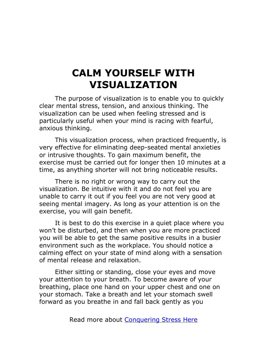### **CALM YOURSELF WITH VISUALIZATION**

The purpose of visualization is to enable you to quickly clear mental stress, tension, and anxious thinking. The visualization can be used when feeling stressed and is particularly useful when your mind is racing with fearful, anxious thinking.

This visualization process, when practiced frequently, is very effective for eliminating deep-seated mental anxieties or intrusive thoughts. To gain maximum benefit, the exercise must be carried out for longer then 10 minutes at a time, as anything shorter will not bring noticeable results.

There is no right or wrong way to carry out the visualization. Be intuitive with it and do not feel you are unable to carry it out if you feel you are not very good at seeing mental imagery. As long as your attention is on the exercise, you will gain benefit.

It is best to do this exercise in a quiet place where you won't be disturbed, and then when you are more practiced you will be able to get the same positive results in a busier environment such as the workplace. You should notice a calming effect on your state of mind along with a sensation of mental release and relaxation.

Either sitting or standing, close your eyes and move your attention to your breath. To become aware of your breathing, place one hand on your upper chest and one on your stomach. Take a breath and let your stomach swell forward as you breathe in and fall back gently as you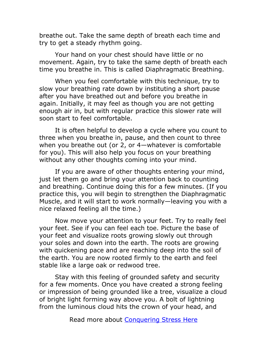breathe out. Take the same depth of breath each time and try to get a steady rhythm going.

Your hand on your chest should have little or no movement. Again, try to take the same depth of breath each time you breathe in. This is called Diaphragmatic Breathing.

When you feel comfortable with this technique, try to slow your breathing rate down by instituting a short pause after you have breathed out and before you breathe in again. Initially, it may feel as though you are not getting enough air in, but with regular practice this slower rate will soon start to feel comfortable.

It is often helpful to develop a cycle where you count to three when you breathe in, pause, and then count to three when you breathe out (or 2, or 4—whatever is comfortable for you). This will also help you focus on your breathing without any other thoughts coming into your mind.

If you are aware of other thoughts entering your mind, just let them go and bring your attention back to counting and breathing. Continue doing this for a few minutes. (If you practice this, you will begin to strengthen the Diaphragmatic Muscle, and it will start to work normally—leaving you with a nice relaxed feeling all the time.)

Now move your attention to your feet. Try to really feel your feet. See if you can feel each toe. Picture the base of your feet and visualize roots growing slowly out through your soles and down into the earth. The roots are growing with quickening pace and are reaching deep into the soil of the earth. You are now rooted firmly to the earth and feel stable like a large oak or redwood tree.

Stay with this feeling of grounded safety and security for a few moments. Once you have created a strong feeling or impression of being grounded like a tree, visualize a cloud of bright light forming way above you. A bolt of lightning from the luminous cloud hits the crown of your head, and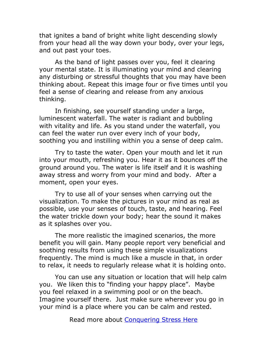that ignites a band of bright white light descending slowly from your head all the way down your body, over your legs, and out past your toes.

As the band of light passes over you, feel it clearing your mental state. It is illuminating your mind and clearing any disturbing or stressful thoughts that you may have been thinking about. Repeat this image four or five times until you feel a sense of clearing and release from any anxious thinking.

In finishing, see yourself standing under a large, luminescent waterfall. The water is radiant and bubbling with vitality and life. As you stand under the waterfall, you can feel the water run over every inch of your body, soothing you and instilling within you a sense of deep calm.

Try to taste the water. Open your mouth and let it run into your mouth, refreshing you. Hear it as it bounces off the ground around you. The water is life itself and it is washing away stress and worry from your mind and body. After a moment, open your eyes.

Try to use all of your senses when carrying out the visualization. To make the pictures in your mind as real as possible, use your senses of touch, taste, and hearing. Feel the water trickle down your body; hear the sound it makes as it splashes over you.

The more realistic the imagined scenarios, the more benefit you will gain. Many people report very beneficial and soothing results from using these simple visualizations frequently. The mind is much like a muscle in that, in order to relax, it needs to regularly release what it is holding onto.

You can use any situation or location that will help calm you. We liken this to "finding your happy place". Maybe you feel relaxed in a swimming pool or on the beach. Imagine yourself there. Just make sure wherever you go in your mind is a place where you can be calm and rested.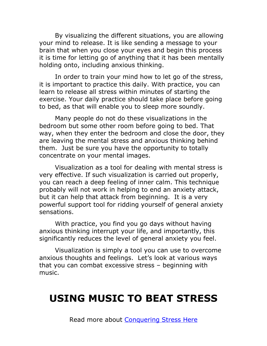By visualizing the different situations, you are allowing your mind to release. It is like sending a message to your brain that when you close your eyes and begin this process it is time for letting go of anything that it has been mentally holding onto, including anxious thinking.

In order to train your mind how to let go of the stress, it is important to practice this daily. With practice, you can learn to release all stress within minutes of starting the exercise. Your daily practice should take place before going to bed, as that will enable you to sleep more soundly.

Many people do not do these visualizations in the bedroom but some other room before going to bed. That way, when they enter the bedroom and close the door, they are leaving the mental stress and anxious thinking behind them. Just be sure you have the opportunity to totally concentrate on your mental images.

Visualization as a tool for dealing with mental stress is very effective. If such visualization is carried out properly, you can reach a deep feeling of inner calm. This technique probably will not work in helping to end an anxiety attack, but it can help that attack from beginning. It is a very powerful support tool for ridding yourself of general anxiety sensations.

With practice, you find you go days without having anxious thinking interrupt your life, and importantly, this significantly reduces the level of general anxiety you feel.

Visualization is simply a tool you can use to overcome anxious thoughts and feelings. Let's look at various ways that you can combat excessive stress – beginning with music.

### **USING MUSIC TO BEAT STRESS**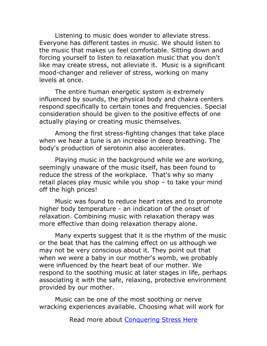Listening to music does wonder to alleviate stress. Everyone has different tastes in music. We should listen to the music that makes us feel comfortable. Sitting down and forcing yourself to listen to relaxation music that you don't like may create stress, not alleviate it. Music is a significant mood-changer and reliever of stress, working on many levels at once.

The entire human energetic system is extremely influenced by sounds, the physical body and chakra centers respond specifically to certain tones and frequencies. Special consideration should be given to the positive effects of one actually playing or creating music themselves.

Among the first stress-fighting changes that take place when we hear a tune is an increase in deep breathing. The body's production of serotonin also accelerates.

Playing music in the background while we are working, seemingly unaware of the music itself, has been found to reduce the stress of the workplace. That's why so many retail places play music while you shop – to take your mind off the high prices!

Music was found to reduce heart rates and to promote higher body temperature - an indication of the onset of relaxation. Combining music with relaxation therapy was more effective than doing relaxation therapy alone.

Many experts suggest that it is the rhythm of the music or the beat that has the calming effect on us although we may not be very conscious about it. They point out that when we were a baby in our mother's womb, we probably were influenced by the heart beat of our mother. We respond to the soothing music at later stages in life, perhaps associating it with the safe, relaxing, protective environment provided by our mother.

Music can be one of the most soothing or nerve wracking experiences available. Choosing what will work for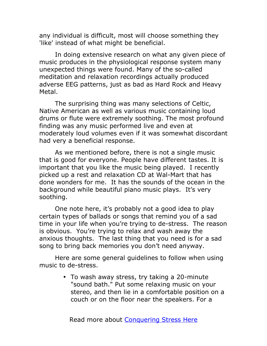any individual is difficult, most will choose something they 'like' instead of what might be beneficial.

In doing extensive research on what any given piece of music produces in the physiological response system many unexpected things were found. Many of the so-called meditation and relaxation recordings actually produced adverse EEG patterns, just as bad as Hard Rock and Heavy Metal.

The surprising thing was many selections of Celtic, Native American as well as various music containing loud drums or flute were extremely soothing. The most profound finding was any music performed live and even at moderately loud volumes even if it was somewhat discordant had very a beneficial response.

As we mentioned before, there is not a single music that is good for everyone. People have different tastes. It is important that you like the music being played. I recently picked up a rest and relaxation CD at Wal-Mart that has done wonders for me. It has the sounds of the ocean in the background while beautiful piano music plays. It's very soothing.

One note here, it's probably not a good idea to play certain types of ballads or songs that remind you of a sad time in your life when you're trying to de-stress. The reason is obvious. You're trying to relax and wash away the anxious thoughts. The last thing that you need is for a sad song to bring back memories you don't need anyway.

Here are some general guidelines to follow when using music to de-stress.

> • To wash away stress, try taking a 20-minute "sound bath." Put some relaxing music on your stereo, and then lie in a comfortable position on a couch or on the floor near the speakers. For a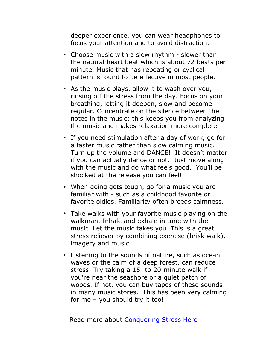deeper experience, you can wear headphones to focus your attention and to avoid distraction.

- Choose music with a slow rhythm slower than the natural heart beat which is about 72 beats per minute. Music that has repeating or cyclical pattern is found to be effective in most people.
- As the music plays, allow it to wash over you, rinsing off the stress from the day. Focus on your breathing, letting it deepen, slow and become regular. Concentrate on the silence between the notes in the music; this keeps you from analyzing the music and makes relaxation more complete.
- If you need stimulation after a day of work, go for a faster music rather than slow calming music. Turn up the volume and DANCE! It doesn't matter if you can actually dance or not. Just move along with the music and do what feels good. You'll be shocked at the release you can feel!
- When going gets tough, go for a music you are familiar with - such as a childhood favorite or favorite oldies. Familiarity often breeds calmness.
- Take walks with your favorite music playing on the walkman. Inhale and exhale in tune with the music. Let the music takes you. This is a great stress reliever by combining exercise (brisk walk), imagery and music.
- Listening to the sounds of nature, such as ocean waves or the calm of a deep forest, can reduce stress. Try taking a 15- to 20-minute walk if you're near the seashore or a quiet patch of woods. If not, you can buy tapes of these sounds in many music stores. This has been very calming for me – you should try it too!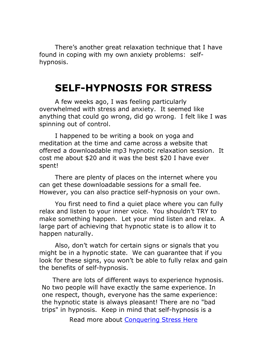There's another great relaxation technique that I have found in coping with my own anxiety problems: selfhypnosis.

### **SELF-HYPNOSIS FOR STRESS**

A few weeks ago, I was feeling particularly overwhelmed with stress and anxiety. It seemed like anything that could go wrong, did go wrong. I felt like I was spinning out of control.

I happened to be writing a book on yoga and meditation at the time and came across a website that offered a downloadable mp3 hypnotic relaxation session. It cost me about \$20 and it was the best \$20 I have ever spent!

There are plenty of places on the internet where you can get these downloadable sessions for a small fee. However, you can also practice self-hypnosis on your own.

You first need to find a quiet place where you can fully relax and listen to your inner voice. You shouldn't TRY to make something happen. Let your mind listen and relax. A large part of achieving that hypnotic state is to allow it to happen naturally.

Also, don't watch for certain signs or signals that you might be in a hypnotic state. We can guarantee that if you look for these signs, you won't be able to fully relax and gain the benefits of self-hypnosis.

There are lots of different ways to experience hypnosis. No two people will have exactly the same experience. In one respect, though, everyone has the same experience: the hypnotic state is always pleasant! There are no "bad trips" in hypnosis. Keep in mind that self-hypnosis is a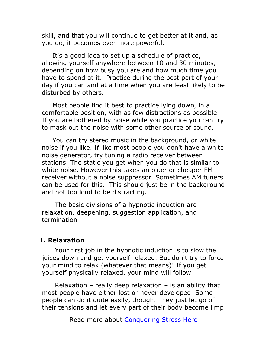skill, and that you will continue to get better at it and, as you do, it becomes ever more powerful.

It's a good idea to set up a schedule of practice, allowing yourself anywhere between 10 and 30 minutes, depending on how busy you are and how much time you have to spend at it. Practice during the best part of your day if you can and at a time when you are least likely to be disturbed by others.

Most people find it best to practice lying down, in a comfortable position, with as few distractions as possible. If you are bothered by noise while you practice you can try to mask out the noise with some other source of sound.

You can try stereo music in the background, or white noise if you like. If like most people you don't have a white noise generator, try tuning a radio receiver between stations. The static you get when you do that is similar to white noise. However this takes an older or cheaper FM receiver without a noise suppressor. Sometimes AM tuners can be used for this. This should just be in the background and not too loud to be distracting.

The basic divisions of a hypnotic induction are relaxation, deepening, suggestion application, and termination*.*

#### **1. Relaxation**

Your first job in the hypnotic induction is to slow the juices down and get yourself relaxed. But don't try to force your mind to relax (whatever that means)! If you get yourself physically relaxed, your mind will follow.

Relaxation – really deep relaxation – is an ability that most people have either lost or never developed. Some people can do it quite easily, though. They just let go of their tensions and let every part of their body become limp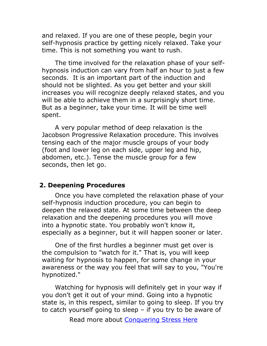and relaxed. If you are one of these people, begin your self-hypnosis practice by getting nicely relaxed. Take your time. This is not something you want to rush.

The time involved for the relaxation phase of your selfhypnosis induction can vary from half an hour to just a few seconds. It is an important part of the induction and should not be slighted. As you get better and your skill increases you will recognize deeply relaxed states, and you will be able to achieve them in a surprisingly short time. But as a beginner, take your time. It will be time well spent.

A very popular method of deep relaxation is the Jacobson Progressive Relaxation procedure. This involves tensing each of the major muscle groups of your body (foot and lower leg on each side, upper leg and hip, abdomen, etc.). Tense the muscle group for a few seconds, then let go.

#### **2. Deepening Procedures**

Once you have completed the relaxation phase of your self-hypnosis induction procedure, you can begin to deepen the relaxed state. At some time between the deep relaxation and the deepening procedures you will move into a hypnotic state. You probably won't know it, especially as a beginner, but it will happen sooner or later.

One of the first hurdles a beginner must get over is the compulsion to "watch for it." That is, you will keep waiting for hypnosis to happen, for some change in your awareness or the way you feel that will say to you, "You're hypnotized."

Watching for hypnosis will definitely get in your way if you don't get it out of your mind. Going into a hypnotic state is, in this respect, similar to going to sleep. If you try to catch yourself going to sleep – if you try to be aware of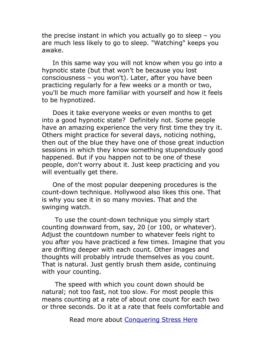the precise instant in which you actually go to sleep – you are much less likely to go to sleep. "Watching" keeps you awake.

In this same way you will not know when you go into a hypnotic state (but that won't be because you lost consciousness – you won't). Later, after you have been practicing regularly for a few weeks or a month or two, you'll be much more familiar with yourself and how it feels to be hypnotized.

Does it take everyone weeks or even months to get into a good hypnotic state? Definitely not. Some people have an amazing experience the very first time they try it. Others might practice for several days, noticing nothing, then out of the blue they have one of those great induction sessions in which they know something stupendously good happened. But if you happen not to be one of these people, don't worry about it. Just keep practicing and you will eventually get there.

One of the most popular deepening procedures is the count-down technique. Hollywood also likes this one. That is why you see it in so many movies. That and the swinging watch.

To use the count-down technique you simply start counting downward from, say, 20 (or 100, or whatever). Adjust the countdown number to whatever feels right to you after you have practiced a few times. Imagine that you are drifting deeper with each count. Other images and thoughts will probably intrude themselves as you count. That is natural. Just gently brush them aside, continuing with your counting.

The speed with which you count down should be natural; not too fast, not too slow. For most people this means counting at a rate of about one count for each two or three seconds. Do it at a rate that feels comfortable and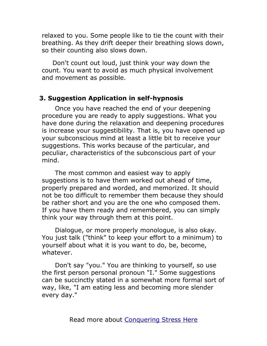relaxed to you. Some people like to tie the count with their breathing. As they drift deeper their breathing slows down, so their counting also slows down.

Don't count out loud, just think your way down the count. You want to avoid as much physical involvement and movement as possible.

#### **3. Suggestion Application in self-hypnosis**

Once you have reached the end of your deepening procedure you are ready to apply suggestions. What you have done during the relaxation and deepening procedures is increase your suggestibility. That is, you have opened up your subconscious mind at least a little bit to receive your suggestions. This works because of the particular, and peculiar, characteristics of the subconscious part of your mind.

The most common and easiest way to apply suggestions is to have them worked out ahead of time, properly prepared and worded, and memorized. It should not be too difficult to remember them because they should be rather short and you are the one who composed them. If you have them ready and remembered, you can simply think your way through them at this point.

Dialogue, or more properly monologue, is also okay. You just talk ("think" to keep your effort to a minimum) to yourself about what it is you want to do, be, become, whatever.

Don't say "you." You are thinking to yourself, so use the first person personal pronoun "I." Some suggestions can be succinctly stated in a somewhat more formal sort of way, like, "I am eating less and becoming more slender every day."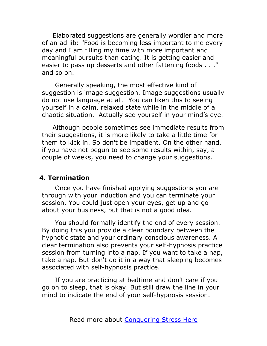Elaborated suggestions are generally wordier and more of an ad lib: "Food is becoming less important to me every day and I am filling my time with more important and meaningful pursuits than eating. It is getting easier and easier to pass up desserts and other fattening foods . . ." and so on.

Generally speaking, the most effective kind of suggestion is image suggestion. Image suggestions usually do not use language at all. You can liken this to seeing yourself in a calm, relaxed state while in the middle of a chaotic situation. Actually see yourself in your mind's eye.

Although people sometimes see immediate results from their suggestions, it is more likely to take a little time for them to kick in. So don't be impatient. On the other hand, if you have not begun to see some results within, say, a couple of weeks, you need to change your suggestions.

#### **4. Termination**

Once you have finished applying suggestions you are through with your induction and you can terminate your session. You could just open your eyes, get up and go about your business, but that is not a good idea.

You should formally identify the end of every session. By doing this you provide a clear boundary between the hypnotic state and your ordinary conscious awareness. A clear termination also prevents your self-hypnosis practice session from turning into a nap. If you want to take a nap, take a nap. But don't do it in a way that sleeping becomes associated with self-hypnosis practice.

If you are practicing at bedtime and don't care if you go on to sleep, that is okay. But still draw the line in your mind to indicate the end of your self-hypnosis session.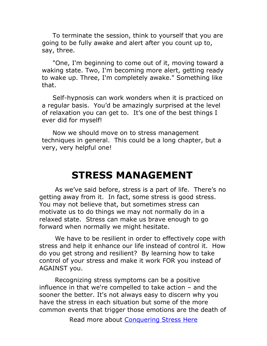To terminate the session, think to yourself that you are going to be fully awake and alert after you count up to, say, three.

"One, I'm beginning to come out of it, moving toward a waking state. Two, I'm becoming more alert, getting ready to wake up. Three, I'm completely awake." Something like that.

Self-hypnosis can work wonders when it is practiced on a regular basis. You'd be amazingly surprised at the level of relaxation you can get to. It's one of the best things I ever did for myself!

Now we should move on to stress management techniques in general. This could be a long chapter, but a very, very helpful one!

### **STRESS MANAGEMENT**

As we've said before, stress is a part of life. There's no getting away from it. In fact, some stress is good stress. You may not believe that, but sometimes stress can motivate us to do things we may not normally do in a relaxed state. Stress can make us brave enough to go forward when normally we might hesitate.

We have to be resilient in order to effectively cope with stress and help it enhance our life instead of control it. How do you get strong and resilient? By learning how to take control of your stress and make it work FOR you instead of AGAINST you.

Recognizing stress symptoms can be a positive influence in that we're compelled to take action – and the sooner the better. It's not always easy to discern why you have the stress in each situation but some of the more common events that trigger those emotions are the death of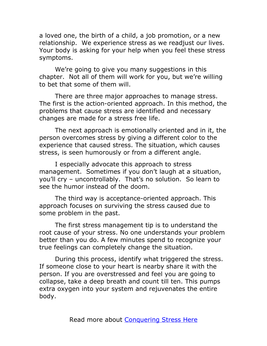a loved one, the birth of a child, a job promotion, or a new relationship. We experience stress as we readjust our lives. Your body is asking for your help when you feel these stress symptoms.

We're going to give you many suggestions in this chapter. Not all of them will work for you, but we're willing to bet that some of them will.

There are three major approaches to manage stress. The first is the action-oriented approach. In this method, the problems that cause stress are identified and necessary changes are made for a stress free life.

The next approach is emotionally oriented and in it, the person overcomes stress by giving a different color to the experience that caused stress. The situation, which causes stress, is seen humorously or from a different angle.

I especially advocate this approach to stress management. Sometimes if you don't laugh at a situation, you'll cry – uncontrollably. That's no solution. So learn to see the humor instead of the doom.

The third way is acceptance-oriented approach. This approach focuses on surviving the stress caused due to some problem in the past.

The first stress management tip is to understand the root cause of your stress. No one understands your problem better than you do. A few minutes spend to recognize your true feelings can completely change the situation.

During this process, identify what triggered the stress. If someone close to your heart is nearby share it with the person. If you are overstressed and feel you are going to collapse, take a deep breath and count till ten. This pumps extra oxygen into your system and rejuvenates the entire body.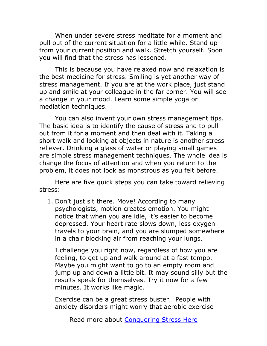When under severe stress meditate for a moment and pull out of the current situation for a little while. Stand up from your current position and walk. Stretch yourself. Soon you will find that the stress has lessened.

This is because you have relaxed now and relaxation is the best medicine for stress. Smiling is yet another way of stress management. If you are at the work place, just stand up and smile at your colleague in the far corner. You will see a change in your mood. Learn some simple yoga or mediation techniques.

You can also invent your own stress management tips. The basic idea is to identify the cause of stress and to pull out from it for a moment and then deal with it. Taking a short walk and looking at objects in nature is another stress reliever. Drinking a glass of water or playing small games are simple stress management techniques. The whole idea is change the focus of attention and when you return to the problem, it does not look as monstrous as you felt before.

Here are five quick steps you can take toward relieving stress:

1. Don't just sit there. Move! According to many psychologists, motion creates emotion. You might notice that when you are idle, it's easier to become depressed. Your heart rate slows down, less oxygen travels to your brain, and you are slumped somewhere in a chair blocking air from reaching your lungs.

I challenge you right now, regardless of how you are feeling, to get up and walk around at a fast tempo. Maybe you might want to go to an empty room and jump up and down a little bit. It may sound silly but the results speak for themselves. Try it now for a few minutes. It works like magic.

Exercise can be a great stress buster. People with anxiety disorders might worry that aerobic exercise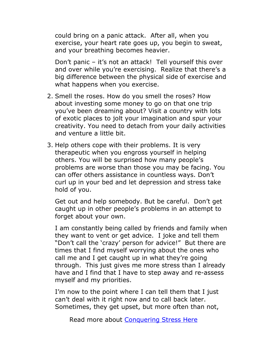could bring on a panic attack. After all, when you exercise, your heart rate goes up, you begin to sweat, and your breathing becomes heavier.

Don't panic – it's not an attack! Tell yourself this over and over while you're exercising. Realize that there's a big difference between the physical side of exercise and what happens when you exercise.

- 2. Smell the roses. How do you smell the roses? How about investing some money to go on that one trip you've been dreaming about? Visit a country with lots of exotic places to jolt your imagination and spur your creativity. You need to detach from your daily activities and venture a little bit.
- 3. Help others cope with their problems. It is very therapeutic when you engross yourself in helping others. You will be surprised how many people's problems are worse than those you may be facing. You can offer others assistance in countless ways. Don't curl up in your bed and let depression and stress take hold of you.

Get out and help somebody. But be careful. Don't get caught up in other people's problems in an attempt to forget about your own.

I am constantly being called by friends and family when they want to vent or get advice. I joke and tell them "Don't call the 'crazy' person for advice!" But there are times that I find myself worrying about the ones who call me and I get caught up in what they're going through. This just gives me more stress than I already have and I find that I have to step away and re-assess myself and my priorities.

I'm now to the point where I can tell them that I just can't deal with it right now and to call back later. Sometimes, they get upset, but more often than not,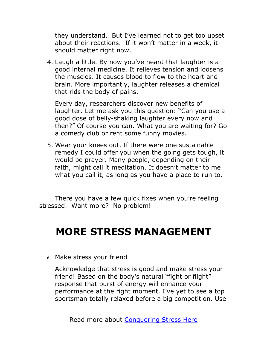they understand. But I've learned not to get too upset about their reactions. If it won't matter in a week, it should matter right now.

4. Laugh a little. By now you've heard that laughter is a good internal medicine. It relieves tension and loosens the muscles. It causes blood to flow to the heart and brain. More importantly, laughter releases a chemical that rids the body of pains.

Every day, researchers discover new benefits of laughter. Let me ask you this question: "Can you use a good dose of belly-shaking laughter every now and then?" Of course you can. What you are waiting for? Go a comedy club or rent some funny movies.

5. Wear your knees out. If there were one sustainable remedy I could offer you when the going gets tough, it would be prayer. Many people, depending on their faith, might call it meditation. It doesn't matter to me what you call it, as long as you have a place to run to.

There you have a few quick fixes when you're feeling stressed. Want more? No problem!

### **MORE STRESS MANAGEMENT**

6. Make stress your friend

Acknowledge that stress is good and make stress your friend! Based on the body's natural "fight or flight" response that burst of energy will enhance your performance at the right moment. I've yet to see a top sportsman totally relaxed before a big competition. Use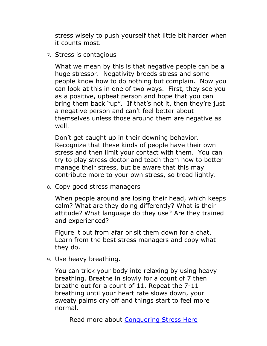stress wisely to push yourself that little bit harder when it counts most.

7. Stress is contagious

What we mean by this is that negative people can be a huge stressor. Negativity breeds stress and some people know how to do nothing but complain. Now you can look at this in one of two ways. First, they see you as a positive, upbeat person and hope that you can bring them back "up". If that's not it, then they're just a negative person and can't feel better about themselves unless those around them are negative as well.

Don't get caught up in their downing behavior. Recognize that these kinds of people have their own stress and then limit your contact with them. You can try to play stress doctor and teach them how to better manage their stress, but be aware that this may contribute more to your own stress, so tread lightly.

8. Copy good stress managers

When people around are losing their head, which keeps calm? What are they doing differently? What is their attitude? What language do they use? Are they trained and experienced?

Figure it out from afar or sit them down for a chat. Learn from the best stress managers and copy what they do.

9. Use heavy breathing.

You can trick your body into relaxing by using heavy breathing. Breathe in slowly for a count of 7 then breathe out for a count of 11. Repeat the 7-11 breathing until your heart rate slows down, your sweaty palms dry off and things start to feel more normal.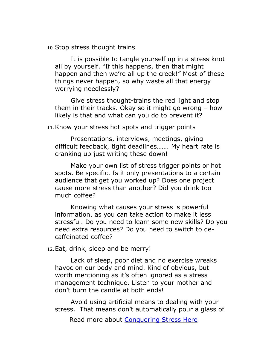10.Stop stress thought trains

It is possible to tangle yourself up in a stress knot all by yourself. "If this happens, then that might happen and then we're all up the creek!" Most of these things never happen, so why waste all that energy worrying needlessly?

Give stress thought-trains the red light and stop them in their tracks. Okay so it might go wrong – how likely is that and what can you do to prevent it?

11.Know your stress hot spots and trigger points

Presentations, interviews, meetings, giving difficult feedback, tight deadlines……. My heart rate is cranking up just writing these down!

Make your own list of stress trigger points or hot spots. Be specific. Is it only presentations to a certain audience that get you worked up? Does one project cause more stress than another? Did you drink too much coffee?

Knowing what causes your stress is powerful information, as you can take action to make it less stressful. Do you need to learn some new skills? Do you need extra resources? Do you need to switch to decaffeinated coffee?

12.Eat, drink, sleep and be merry!

Lack of sleep, poor diet and no exercise wreaks havoc on our body and mind. Kind of obvious, but worth mentioning as it's often ignored as a stress management technique. Listen to your mother and don't burn the candle at both ends!

Avoid using artificial means to dealing with your stress. That means don't automatically pour a glass of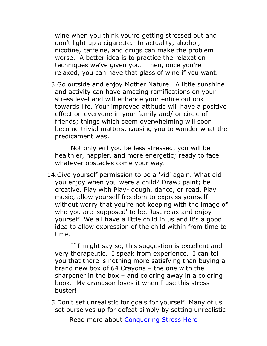wine when you think you're getting stressed out and don't light up a cigarette. In actuality, alcohol, nicotine, caffeine, and drugs can make the problem worse. A better idea is to practice the relaxation techniques we've given you. Then, once you're relaxed, you can have that glass of wine if you want.

13.Go outside and enjoy Mother Nature. A little sunshine and activity can have amazing ramifications on your stress level and will enhance your entire outlook towards life. Your improved attitude will have a positive effect on everyone in your family and/ or circle of friends; things which seem overwhelming will soon become trivial matters, causing you to wonder what the predicament was.

Not only will you be less stressed, you will be healthier, happier, and more energetic; ready to face whatever obstacles come your way.

14.Give yourself permission to be a 'kid' again. What did you enjoy when you were a child? Draw; paint; be creative. Play with Play- dough, dance, or read. Play music, allow yourself freedom to express yourself without worry that you're not keeping with the image of who you are 'supposed' to be. Just relax and enjoy yourself. We all have a little child in us and it's a good idea to allow expression of the child within from time to time.

If I might say so, this suggestion is excellent and very therapeutic. I speak from experience. I can tell you that there is nothing more satisfying than buying a brand new box of 64 Crayons – the one with the sharpener in the box  $-$  and coloring away in a coloring book. My grandson loves it when I use this stress buster!

15.Don't set unrealistic for goals for yourself. Many of us set ourselves up for defeat simply by setting unrealistic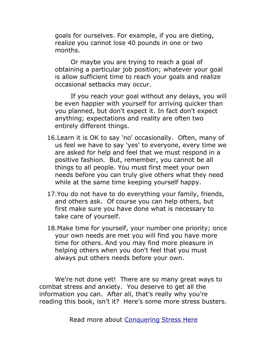goals for ourselves. For example, if you are dieting, realize you cannot lose 40 pounds in one or two months.

Or maybe you are trying to reach a goal of obtaining a particular job position; whatever your goal is allow sufficient time to reach your goals and realize occasional setbacks may occur.

If you reach your goal without any delays, you will be even happier with yourself for arriving quicker than you planned, but don't expect it. In fact don't expect anything; expectations and reality are often two entirely different things.

- 16.Learn it is OK to say 'no' occasionally. Often, many of us feel we have to say 'yes' to everyone, every time we are asked for help and feel that we must respond in a positive fashion. But, remember, you cannot be all things to all people. You must first meet your own needs before you can truly give others what they need while at the same time keeping yourself happy.
- 17.You do not have to do everything your family, friends, and others ask. Of course you can help others, but first make sure you have done what is necessary to take care of yourself.
- 18.Make time for yourself, your number one priority; once your own needs are met you will find you have more time for others. And you may find more pleasure in helping others when you don't feel that you must always put others needs before your own.

We're not done yet! There are so many great ways to combat stress and anxiety. You deserve to get all the information you can. After all, that's really why you're reading this book, isn't it? Here's some more stress busters.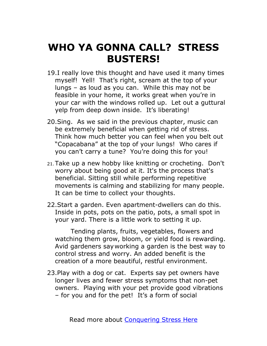### **WHO YA GONNA CALL? STRESS BUSTERS!**

- 19.I really love this thought and have used it many times myself! Yell! That's right, scream at the top of your lungs – as loud as you can. While this may not be feasible in your home, it works great when you're in your car with the windows rolled up. Let out a guttural yelp from deep down inside. It's liberating!
- 20.Sing. As we said in the previous chapter, music can be extremely beneficial when getting rid of stress. Think how much better you can feel when you belt out "Copacabana" at the top of your lungs! Who cares if you can't carry a tune? You're doing this for you!
- 21.Take up a new hobby like knitting or crocheting. Don't worry about being good at it. It's the process that's beneficial. Sitting still while performing repetitive movements is calming and stabilizing for many people. It can be time to collect your thoughts.
- 22.Start a garden. Even apartment-dwellers can do this. Inside in pots, pots on the patio, pots, a small spot in your yard. There is a little work to setting it up.

Tending plants, fruits, vegetables, flowers and watching them grow, bloom, or yield food is rewarding. Avid gardeners sayworking a garden is the best way to control stress and worry. An added benefit is the creation of a more beautiful, restful environment.

23.Play with a dog or cat. Experts say pet owners have longer lives and fewer stress symptoms that non-pet owners. Playing with your pet provide good vibrations – for you and for the pet! It's a form of social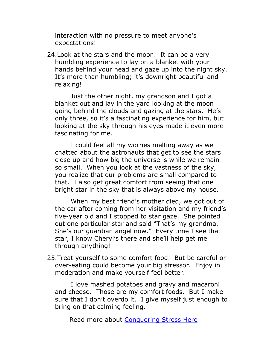interaction with no pressure to meet anyone's expectations!

24.Look at the stars and the moon. It can be a very humbling experience to lay on a blanket with your hands behind your head and gaze up into the night sky. It's more than humbling; it's downright beautiful and relaxing!

Just the other night, my grandson and I got a blanket out and lay in the yard looking at the moon going behind the clouds and gazing at the stars. He's only three, so it's a fascinating experience for him, but looking at the sky through his eyes made it even more fascinating for me.

I could feel all my worries melting away as we chatted about the astronauts that get to see the stars close up and how big the universe is while we remain so small. When you look at the vastness of the sky, you realize that our problems are small compared to that. I also get great comfort from seeing that one bright star in the sky that is always above my house.

When my best friend's mother died, we got out of the car after coming from her visitation and my friend's five-year old and I stopped to star gaze. She pointed out one particular star and said "That's my grandma. She's our guardian angel now." Every time I see that star, I know Cheryl's there and she'll help get me through anything!

25.Treat yourself to some comfort food. But be careful or over-eating could become your big stressor. Enjoy in moderation and make yourself feel better.

I love mashed potatoes and gravy and macaroni and cheese. Those are my comfort foods. But I make sure that I don't overdo it. I give myself just enough to bring on that calming feeling.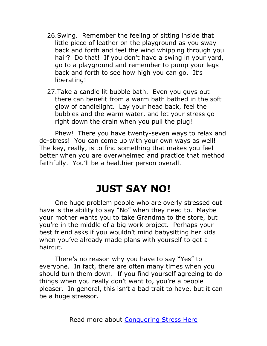- 26.Swing. Remember the feeling of sitting inside that little piece of leather on the playground as you sway back and forth and feel the wind whipping through you hair? Do that! If you don't have a swing in your yard, go to a playground and remember to pump your legs back and forth to see how high you can go. It's liberating!
- 27.Take a candle lit bubble bath. Even you guys out there can benefit from a warm bath bathed in the soft glow of candlelight. Lay your head back, feel the bubbles and the warm water, and let your stress go right down the drain when you pull the plug!

Phew! There you have twenty-seven ways to relax and de-stress! You can come up with your own ways as well! The key, really, is to find something that makes you feel better when you are overwhelmed and practice that method faithfully. You'll be a healthier person overall.

### **JUST SAY NO!**

One huge problem people who are overly stressed out have is the ability to say "No" when they need to. Maybe your mother wants you to take Grandma to the store, but you're in the middle of a big work project. Perhaps your best friend asks if you wouldn't mind babysitting her kids when you've already made plans with yourself to get a haircut.

There's no reason why you have to say "Yes" to everyone. In fact, there are often many times when you should turn them down. If you find yourself agreeing to do things when you really don't want to, you're a people pleaser. In general, this isn't a bad trait to have, but it can be a huge stressor.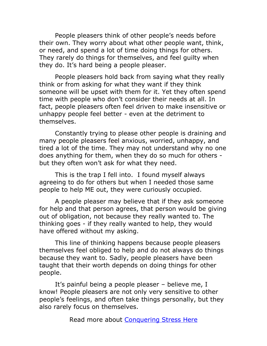People pleasers think of other people's needs before their own. They worry about what other people want, think, or need, and spend a lot of time doing things for others. They rarely do things for themselves, and feel guilty when they do. It's hard being a people pleaser.

People pleasers hold back from saying what they really think or from asking for what they want if they think someone will be upset with them for it. Yet they often spend time with people who don't consider their needs at all. In fact, people pleasers often feel driven to make insensitive or unhappy people feel better - even at the detriment to themselves.

Constantly trying to please other people is draining and many people pleasers feel anxious, worried, unhappy, and tired a lot of the time. They may not understand why no one does anything for them, when they do so much for others but they often won't ask for what they need.

This is the trap I fell into. I found myself always agreeing to do for others but when I needed those same people to help ME out, they were curiously occupied.

A people pleaser may believe that if they ask someone for help and that person agrees, that person would be giving out of obligation, not because they really wanted to. The thinking goes - if they really wanted to help, they would have offered without my asking.

This line of thinking happens because people pleasers themselves feel obliged to help and do not always do things because they want to. Sadly, people pleasers have been taught that their worth depends on doing things for other people.

It's painful being a people pleaser – believe me, I know! People pleasers are not only very sensitive to other people's feelings, and often take things personally, but they also rarely focus on themselves.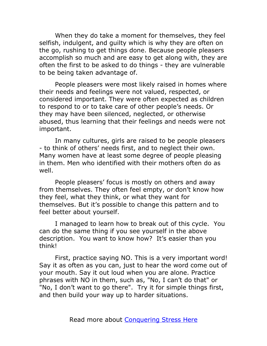When they do take a moment for themselves, they feel selfish, indulgent, and guilty which is why they are often on the go, rushing to get things done. Because people pleasers accomplish so much and are easy to get along with, they are often the first to be asked to do things - they are vulnerable to be being taken advantage of.

People pleasers were most likely raised in homes where their needs and feelings were not valued, respected, or considered important. They were often expected as children to respond to or to take care of other people's needs. Or they may have been silenced, neglected, or otherwise abused, thus learning that their feelings and needs were not important.

In many cultures, girls are raised to be people pleasers - to think of others' needs first, and to neglect their own. Many women have at least some degree of people pleasing in them. Men who identified with their mothers often do as well.

People pleasers' focus is mostly on others and away from themselves. They often feel empty, or don't know how they feel, what they think, or what they want for themselves. But it's possible to change this pattern and to feel better about yourself.

I managed to learn how to break out of this cycle. You can do the same thing if you see yourself in the above description. You want to know how? It's easier than you think!

First, practice saying NO. This is a very important word! Say it as often as you can, just to hear the word come out of your mouth. Say it out loud when you are alone. Practice phrases with NO in them, such as, "No, I can't do that" or "No, I don't want to go there". Try it for simple things first, and then build your way up to harder situations.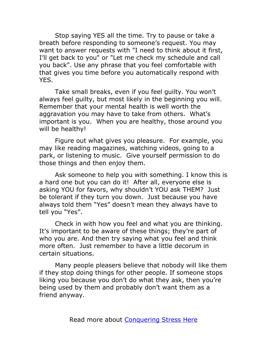Stop saying YES all the time. Try to pause or take a breath before responding to someone's request. You may want to answer requests with "I need to think about it first, I'll get back to you" or "Let me check my schedule and call you back". Use any phrase that you feel comfortable with that gives you time before you automatically respond with YES.

Take small breaks, even if you feel guilty. You won't always feel guilty, but most likely in the beginning you will. Remember that your mental health is well worth the aggravation you may have to take from others. What's important is you. When you are healthy, those around you will be healthy!

Figure out what gives you pleasure. For example, you may like reading magazines, watching videos, going to a park, or listening to music. Give yourself permission to do those things and then enjoy them.

Ask someone to help you with something. I know this is a hard one but you can do it! After all, everyone else is asking YOU for favors, why shouldn't YOU ask THEM? Just be tolerant if they turn you down. Just because you have always told them "Yes" doesn't mean they always have to tell you "Yes".

Check in with how you feel and what you are thinking. It's important to be aware of these things; they're part of who you are. And then try saying what you feel and think more often. Just remember to have a little decorum in certain situations.

Many people pleasers believe that nobody will like them if they stop doing things for other people. If someone stops liking you because you don't do what they ask, then you're being used by them and probably don't want them as a friend anyway.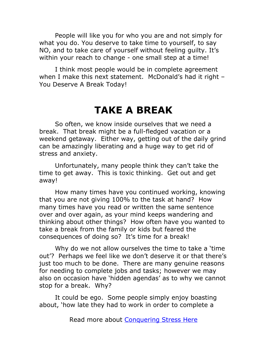People will like you for who you are and not simply for what you do. You deserve to take time to yourself, to say NO, and to take care of yourself without feeling guilty. It's within your reach to change - one small step at a time!

I think most people would be in complete agreement when I make this next statement. McDonald's had it right -You Deserve A Break Today!

### **TAKE A BREAK**

So often, we know inside ourselves that we need a break. That break might be a full-fledged vacation or a weekend getaway. Either way, getting out of the daily grind can be amazingly liberating and a huge way to get rid of stress and anxiety.

Unfortunately, many people think they can't take the time to get away. This is toxic thinking. Get out and get away!

How many times have you continued working, knowing that you are not giving 100% to the task at hand? How many times have you read or written the same sentence over and over again, as your mind keeps wandering and thinking about other things? How often have you wanted to take a break from the family or kids but feared the consequences of doing so? It's time for a break!

Why do we not allow ourselves the time to take a 'time out'? Perhaps we feel like we don't deserve it or that there's just too much to be done.There are many genuine reasons for needing to complete jobs and tasks; however we may also on occasion have 'hidden agendas' as to why we cannot stop for a break. Why?

It could be ego.Some people simply enjoy boasting about, 'how late they had to work in order to complete a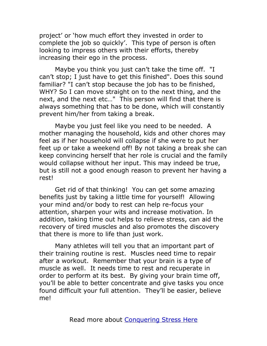project' or 'how much effort they invested in order to complete the job so quickly'. This type of person is often looking to impress others with their efforts, thereby increasing their ego in the process.

Maybe you think you just can't take the time off."I can't stop; I just have to get this finished". Does this sound familiar? "I can't stop because the job has to be finished, WHY? So I can move straight on to the next thing, and the next, and the next etc…" This person will find that there is always something that has to be done, which will constantly prevent him/her from taking a break.

Maybe you just feel like you need to be needed.A mother managing the household, kids and other chores may feel as if her household will collapse if she were to put her feet up or take a weekend off! By not taking a break she can keep convincing herself that her role is crucial and the family would collapse without her input. This may indeed be true, but is still not a good enough reason to prevent her having a rest!

Get rid of that thinking! You can get some amazing benefits just by taking a little time for yourself! Allowing your mind and/or body to rest can help re-focus your attention, sharpen your wits and increase motivation. In addition, taking time out helps to relieve stress, can aid the recovery of tired muscles and also promotes the discovery that there is more to life than just work.

Many athletes will tell you that an important part of their training routine is rest. Muscles need time to repair after a workout. Remember that your brain is a type of muscle as well. It needs time to rest and recuperate in order to perform at its best. By giving your brain time off, you'll be able to better concentrate and give tasks you once found difficult your full attention. They'll be easier, believe me!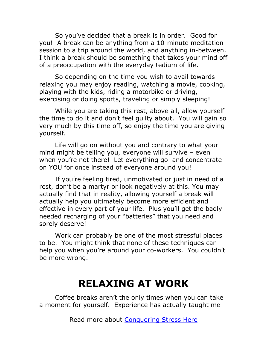So you've decided that a break is in order. Good for you! A break can be anything from a 10-minute meditation session to a trip around the world, and anything in-between. I think a break should be something that takes your mind off of a preoccupation with the everyday tedium of life.

So depending on the time you wish to avail towards relaxing you may enjoy reading, watching a movie, cooking, playing with the kids, riding a motorbike or driving, exercising or doing sports, traveling or simply sleeping!

While you are taking this rest, above all, allow yourself the time to do it and don't feel guilty about. You will gain so very much by this time off, so enjoy the time you are giving yourself.

Life will go on without you and contrary to what your mind might be telling you, everyone will survive – even when you're not there! Let everything go and concentrate on YOU for once instead of everyone around you!

If you're feeling tired, unmotivated or just in need of a rest, don't be a martyr or look negatively at this. You may actually find that in reality, allowing yourself a break will actually help you ultimately become more efficient and effective in every part of your life. Plus you'll get the badly needed recharging of your "batteries" that you need and sorely deserve!

Work can probably be one of the most stressful places to be. You might think that none of these techniques can help you when you're around your co-workers. You couldn't be more wrong.

### **RELAXING AT WORK**

Coffee breaks aren't the only times when you can take a moment for yourself. Experience has actually taught me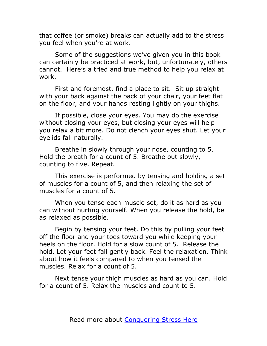that coffee (or smoke) breaks can actually add to the stress you feel when you're at work.

Some of the suggestions we've given you in this book can certainly be practiced at work, but, unfortunately, others cannot. Here's a tried and true method to help you relax at work.

First and foremost, find a place to sit. Sit up straight with your back against the back of your chair, your feet flat on the floor, and your hands resting lightly on your thighs.

If possible, close your eyes. You may do the exercise without closing your eyes, but closing your eyes will help you relax a bit more. Do not clench your eyes shut. Let your eyelids fall naturally.

Breathe in slowly through your nose, counting to 5. Hold the breath for a count of 5. Breathe out slowly, counting to five. Repeat.

This exercise is performed by tensing and holding a set of muscles for a count of 5, and then relaxing the set of muscles for a count of 5.

When you tense each muscle set, do it as hard as you can without hurting yourself. When you release the hold, be as relaxed as possible.

Begin by tensing your feet. Do this by pulling your feet off the floor and your toes toward you while keeping your heels on the floor. Hold for a slow count of 5. Release the hold. Let your feet fall gently back. Feel the relaxation. Think about how it feels compared to when you tensed the muscles. Relax for a count of 5.

Next tense your thigh muscles as hard as you can. Hold for a count of 5. Relax the muscles and count to 5.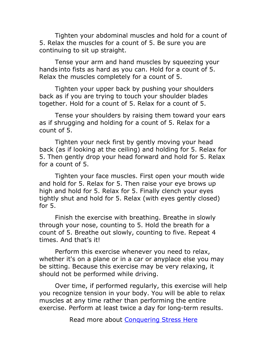Tighten your abdominal muscles and hold for a count of 5. Relax the muscles for a count of 5. Be sure you are continuing to sit up straight.

Tense your arm and hand muscles by squeezing your hands into fists as hard as you can. Hold for a count of 5. Relax the muscles completely for a count of 5.

Tighten your upper back by pushing your shoulders back as if you are trying to touch your shoulder blades together. Hold for a count of 5. Relax for a count of 5.

Tense your shoulders by raising them toward your ears as if shrugging and holding for a count of 5. Relax for a count of 5.

Tighten your neck first by gently moving your head back (as if looking at the ceiling) and holding for 5. Relax for 5. Then gently drop your head forward and hold for 5. Relax for a count of 5.

Tighten your face muscles. First open your mouth wide and hold for 5. Relax for 5. Then raise your eye brows up high and hold for 5. Relax for 5. Finally clench your eyes tightly shut and hold for 5. Relax (with eyes gently closed) for 5.

Finish the exercise with breathing. Breathe in slowly through your nose, counting to 5. Hold the breath for a count of 5. Breathe out slowly, counting to five. Repeat 4 times. And that's it!

Perform this exercise whenever you need to relax, whether it's on a plane or in a car or anyplace else you may be sitting. Because this exercise may be very relaxing, it should not be performed while driving.

Over time, if performed regularly, this exercise will help you recognize tension in your body. You will be able to relax muscles at any time rather than performing the entire exercise. Perform at least twice a day for long-term results.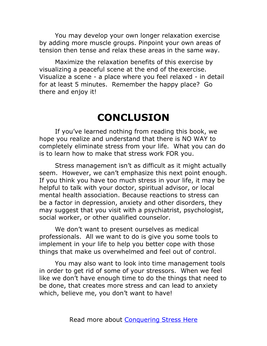You may develop your own longer relaxation exercise by adding more muscle groups. Pinpoint your own areas of tension then tense and relax these areas in the same way.

Maximize the relaxation benefits of this exercise by visualizing a peaceful scene at the end of the exercise. Visualize a scene - a place where you feel relaxed - in detail for at least 5 minutes. Remember the happy place? Go there and enjoy it!

### **CONCLUSION**

If you've learned nothing from reading this book, we hope you realize and understand that there is NO WAY to completely eliminate stress from your life. What you can do is to learn how to make that stress work FOR you.

Stress management isn't as difficult as it might actually seem. However, we can't emphasize this next point enough. If you think you have too much stress in your life, it may be helpful to talk with your doctor, spiritual advisor, or local mental health association. Because reactions to stress can be a factor in depression, anxiety and other disorders, they may suggest that you visit with a psychiatrist, psychologist, social worker, or other qualified counselor.

We don't want to present ourselves as medical professionals. All we want to do is give you some tools to implement in your life to help you better cope with those things that make us overwhelmed and feel out of control.

You may also want to look into time management tools in order to get rid of some of your stressors. When we feel like we don't have enough time to do the things that need to be done, that creates more stress and can lead to anxiety which, believe me, you don't want to have!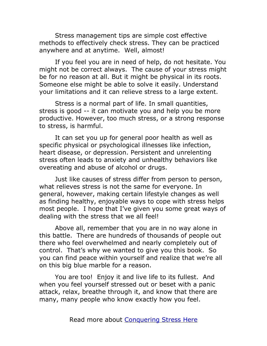Stress management tips are simple cost effective methods to effectively check stress. They can be practiced anywhere and at anytime. Well, almost!

If you feel you are in need of help, do not hesitate. You might not be correct always. The cause of your stress might be for no reason at all. But it might be physical in its roots. Someone else might be able to solve it easily. Understand your limitations and it can relieve stress to a large extent.

Stress is a normal part of life. In small quantities, stress is good -- it can motivate you and help you be more productive. However, too much stress, or a strong response to stress, is harmful.

It can set you up for general poor health as well as specific physical or psychological illnesses like infection, heart disease, or depression. Persistent and unrelenting stress often leads to anxiety and unhealthy behaviors like overeating and abuse of alcohol or drugs.

Just like causes of stress differ from person to person, what relieves stress is not the same for everyone. In general, however, making certain lifestyle changes as well as finding healthy, enjoyable ways to cope with stress helps most people. I hope that I've given you some great ways of dealing with the stress that we all feel!

Above all, remember that you are in no way alone in this battle. There are hundreds of thousands of people out there who feel overwhelmed and nearly completely out of control. That's why we wanted to give you this book. So you can find peace within yourself and realize that we're all on this big blue marble for a reason.

You are too! Enjoy it and live life to its fullest. And when you feel yourself stressed out or beset with a panic attack, relax, breathe through it, and know that there are many, many people who know exactly how you feel.